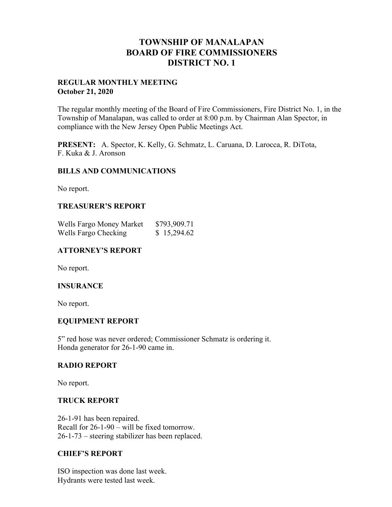## **TOWNSHIP OF MANALAPAN BOARD OF FIRE COMMISSIONERS DISTRICT NO. 1**

#### **REGULAR MONTHLY MEETING October 21, 2020**

The regular monthly meeting of the Board of Fire Commissioners, Fire District No. 1, in the Township of Manalapan, was called to order at 8:00 p.m. by Chairman Alan Spector, in compliance with the New Jersey Open Public Meetings Act.

**PRESENT:** A. Spector, K. Kelly, G. Schmatz, L. Caruana, D. Larocca, R. DiTota, F. Kuka & J. Aronson

#### **BILLS AND COMMUNICATIONS**

No report.

#### **TREASURER'S REPORT**

| Wells Fargo Money Market | \$793,909.71 |
|--------------------------|--------------|
| Wells Fargo Checking     | \$15,294.62  |

#### **ATTORNEY'S REPORT**

No report.

#### **INSURANCE**

No report.

#### **EQUIPMENT REPORT**

5" red hose was never ordered; Commissioner Schmatz is ordering it. Honda generator for 26-1-90 came in.

#### **RADIO REPORT**

No report.

#### **TRUCK REPORT**

26-1-91 has been repaired. Recall for 26-1-90 – will be fixed tomorrow. 26-1-73 – steering stabilizer has been replaced.

#### **CHIEF'S REPORT**

ISO inspection was done last week. Hydrants were tested last week.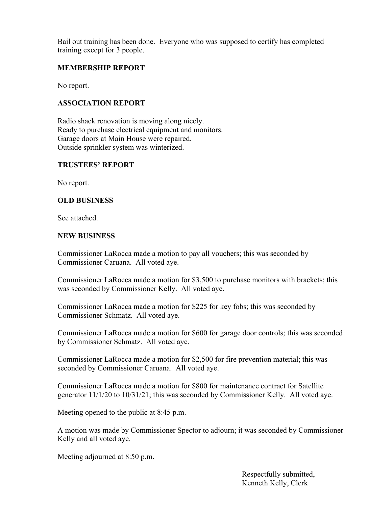Bail out training has been done. Everyone who was supposed to certify has completed training except for 3 people.

## **MEMBERSHIP REPORT**

No report.

## **ASSOCIATION REPORT**

Radio shack renovation is moving along nicely. Ready to purchase electrical equipment and monitors. Garage doors at Main House were repaired. Outside sprinkler system was winterized.

## **TRUSTEES' REPORT**

No report.

### **OLD BUSINESS**

See attached.

#### **NEW BUSINESS**

Commissioner LaRocca made a motion to pay all vouchers; this was seconded by Commissioner Caruana. All voted aye.

Commissioner LaRocca made a motion for \$3,500 to purchase monitors with brackets; this was seconded by Commissioner Kelly. All voted aye.

Commissioner LaRocca made a motion for \$225 for key fobs; this was seconded by Commissioner Schmatz. All voted aye.

Commissioner LaRocca made a motion for \$600 for garage door controls; this was seconded by Commissioner Schmatz. All voted aye.

Commissioner LaRocca made a motion for \$2,500 for fire prevention material; this was seconded by Commissioner Caruana. All voted aye.

Commissioner LaRocca made a motion for \$800 for maintenance contract for Satellite generator 11/1/20 to 10/31/21; this was seconded by Commissioner Kelly. All voted aye.

Meeting opened to the public at 8:45 p.m.

A motion was made by Commissioner Spector to adjourn; it was seconded by Commissioner Kelly and all voted aye.

Meeting adjourned at 8:50 p.m.

 Respectfully submitted, Kenneth Kelly, Clerk